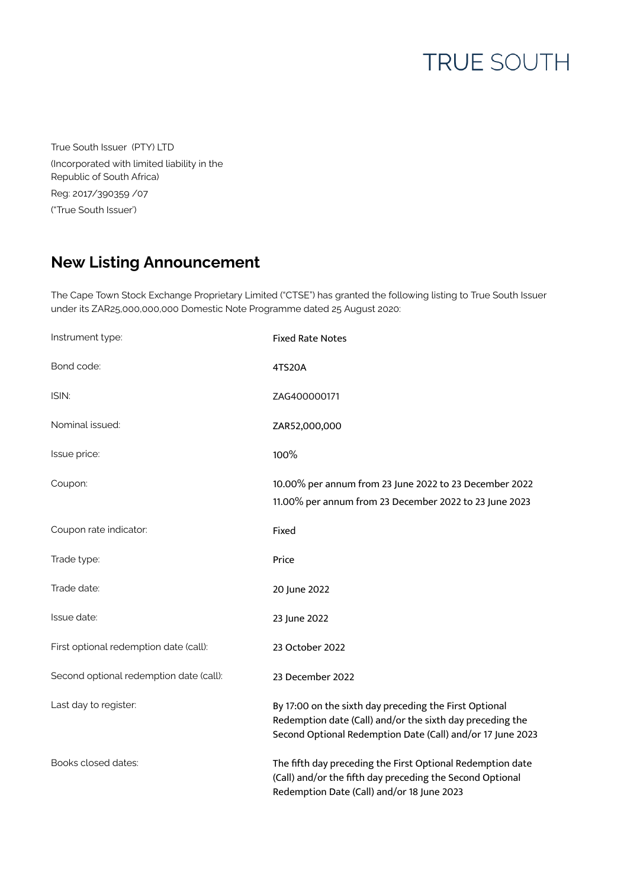## **TRUE SOUTH**

True South Issuer (PTY) LTD (Incorporated with limited liability in the Republic of South Africa) Reg: 2017/390359 /07 ("True South Issuer')

## **New Listing Announcement**

The Cape Town Stock Exchange Proprietary Limited ("CTSE") has granted the following listing to True South Issuer under its ZAR25,000,000,000 Domestic Note Programme dated 25 August 2020:

| Instrument type:                        | <b>Fixed Rate Notes</b>                                                                                                                                                           |
|-----------------------------------------|-----------------------------------------------------------------------------------------------------------------------------------------------------------------------------------|
| Bond code:                              | 4TS20A                                                                                                                                                                            |
| ISIN:                                   | ZAG400000171                                                                                                                                                                      |
| Nominal issued:                         | ZAR52,000,000                                                                                                                                                                     |
| Issue price:                            | 100%                                                                                                                                                                              |
| Coupon:                                 | 10.00% per annum from 23 June 2022 to 23 December 2022<br>11.00% per annum from 23 December 2022 to 23 June 2023                                                                  |
| Coupon rate indicator:                  | Fixed                                                                                                                                                                             |
| Trade type:                             | Price                                                                                                                                                                             |
| Trade date:                             | 20 June 2022                                                                                                                                                                      |
| Issue date:                             | 23 June 2022                                                                                                                                                                      |
| First optional redemption date (call):  | 23 October 2022                                                                                                                                                                   |
| Second optional redemption date (call): | 23 December 2022                                                                                                                                                                  |
| Last day to register:                   | By 17:00 on the sixth day preceding the First Optional<br>Redemption date (Call) and/or the sixth day preceding the<br>Second Optional Redemption Date (Call) and/or 17 June 2023 |
| Books closed dates:                     | The fifth day preceding the First Optional Redemption date<br>(Call) and/or the fifth day preceding the Second Optional<br>Redemption Date (Call) and/or 18 June 2023             |